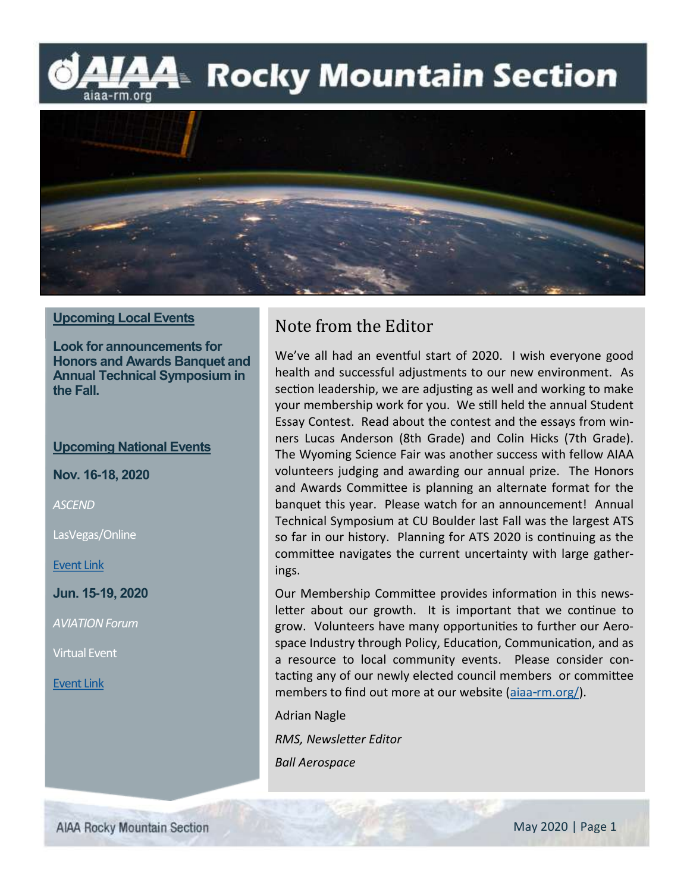**44 Rocky Mountain Section** aiaa-rm.org



### **Upcoming Local Events**

**Look for announcements for Honors and Awards Banquet and Annual Technical Symposium in the Fall.**

### **Upcoming National Events**

**Nov. 16-18, 2020**

*ASCEND*

LasVegas/Online

[Event Link](https://www.ascend.events/)

**Jun. 15-19, 2020**

*AVIATION Forum*

Virtual Event

[Event Link](https://www.aiaa.org/aviation/)

### Note from the Editor

We've all had an eventful start of 2020. I wish everyone good health and successful adjustments to our new environment. As section leadership, we are adjusting as well and working to make your membership work for you. We still held the annual Student Essay Contest. Read about the contest and the essays from winners Lucas Anderson (8th Grade) and Colin Hicks (7th Grade). The Wyoming Science Fair was another success with fellow AIAA volunteers judging and awarding our annual prize. The Honors and Awards Committee is planning an alternate format for the banquet this year. Please watch for an announcement! Annual Technical Symposium at CU Boulder last Fall was the largest ATS so far in our history. Planning for ATS 2020 is continuing as the committee navigates the current uncertainty with large gatherings.

Our Membership Committee provides information in this newsletter about our growth. It is important that we continue to grow. Volunteers have many opportunities to further our Aerospace Industry through Policy, Education, Communication, and as a resource to local community events. Please consider contacting any of our newly elected council members or committee members to find out more at our website ([aiaa-rm.org/\).](http://aiaa-rm.org/)

Adrian Nagle

*RMS, Newsletter Editor*

*Ball Aerospace*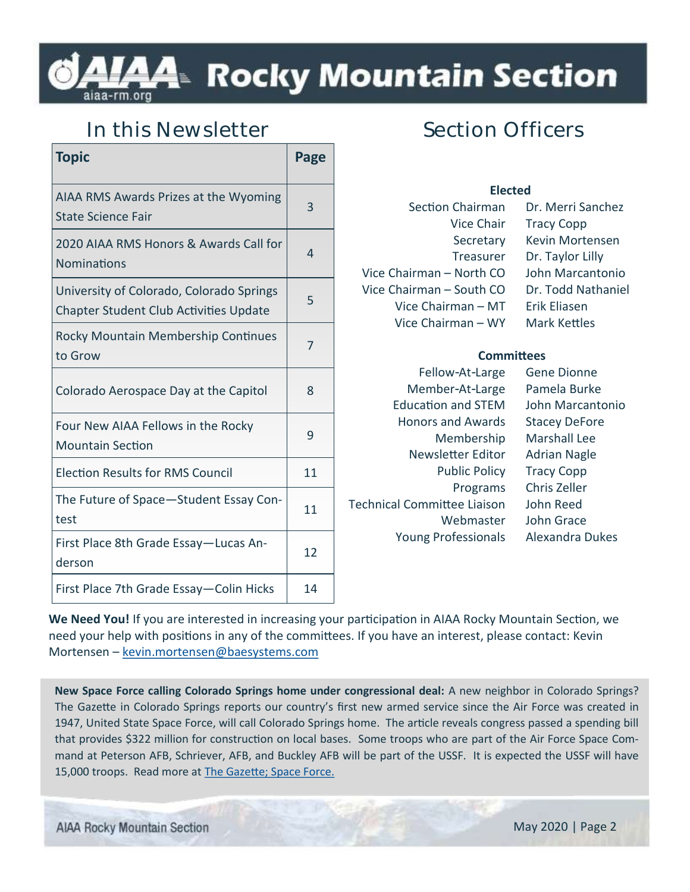## l⁄44 Rocky Mountain Section

### **In this Newsletter**

| <b>Topic</b>                                                                              | Page |
|-------------------------------------------------------------------------------------------|------|
| AIAA RMS Awards Prizes at the Wyoming<br><b>State Science Fair</b>                        | 3    |
| 2020 AIAA RMS Honors & Awards Call for<br><b>Nominations</b>                              | 4    |
| University of Colorado, Colorado Springs<br><b>Chapter Student Club Activities Update</b> | 5    |
| <b>Rocky Mountain Membership Continues</b><br>to Grow                                     | 7    |
| Colorado Aerospace Day at the Capitol                                                     | 8    |
| Four New AIAA Fellows in the Rocky<br><b>Mountain Section</b>                             | 9    |
| <b>Election Results for RMS Council</b>                                                   | 11   |
| The Future of Space-Student Essay Con-<br>test                                            | 11   |
| First Place 8th Grade Essay-Lucas An-<br>derson                                           | 12   |
| First Place 7th Grade Essay - Colin Hicks                                                 | 14   |

## **Section Officers**

| <b>Elected</b>           |                     |  |
|--------------------------|---------------------|--|
| Section Chairman         | Dr. Merri Sanchez   |  |
| <b>Vice Chair</b>        | <b>Tracy Copp</b>   |  |
| Secretary                | Kevin Mortensen     |  |
| Treasurer                | Dr. Taylor Lilly    |  |
| Vice Chairman – North CO | John Marcantonio    |  |
| Vice Chairman - South CO | Dr. Todd Nathaniel  |  |
| Vice Chairman - MT       | Erik Eliasen        |  |
| Vice Chairman - WY       | <b>Mark Kettles</b> |  |
|                          |                     |  |

### **Committees**

| Fellow-At-Large                    | Gene Dionne            |
|------------------------------------|------------------------|
| Member-At-Large                    | Pamela Burke           |
| <b>Education and STEM</b>          | John Marcantonio       |
| <b>Honors and Awards</b>           | <b>Stacey DeFore</b>   |
| Membership                         | <b>Marshall Lee</b>    |
| Newsletter Editor                  | <b>Adrian Nagle</b>    |
| <b>Public Policy</b>               | <b>Tracy Copp</b>      |
| Programs                           | Chris Zeller           |
| <b>Technical Committee Liaison</b> | John Reed              |
| Webmaster                          | John Grace             |
| <b>Young Professionals</b>         | <b>Alexandra Dukes</b> |
|                                    |                        |

**We Need You!** If you are interested in increasing your participation in AIAA Rocky Mountain Section, we need your help with positions in any of the committees. If you have an interest, please contact: Kevin Mortensen – [kevin.mortensen@baesystems.com](mailto:kevin.mortensen@baesystems.com)

**New Space Force calling Colorado Springs home under congressional deal:** A new neighbor in Colorado Springs? The Gazette in Colorado Springs reports our country's first new armed service since the Air Force was created in 1947, United State Space Force, will call Colorado Springs home. The article reveals congress passed a spending bill that provides \$322 million for construction on local bases. Some troops who are part of the Air Force Space Command at Peterson AFB, Schriever, AFB, and Buckley AFB will be part of the USSF. It is expected the USSF will have 15,000 troops. Read more at [The Gazette; Space Force.](https://gazette.com/military/new-space-force-calling-colorado-springs-home-under-congressional-deal/article_fb74724c-1b92-11ea-a8a9-8b5c0a440423.html)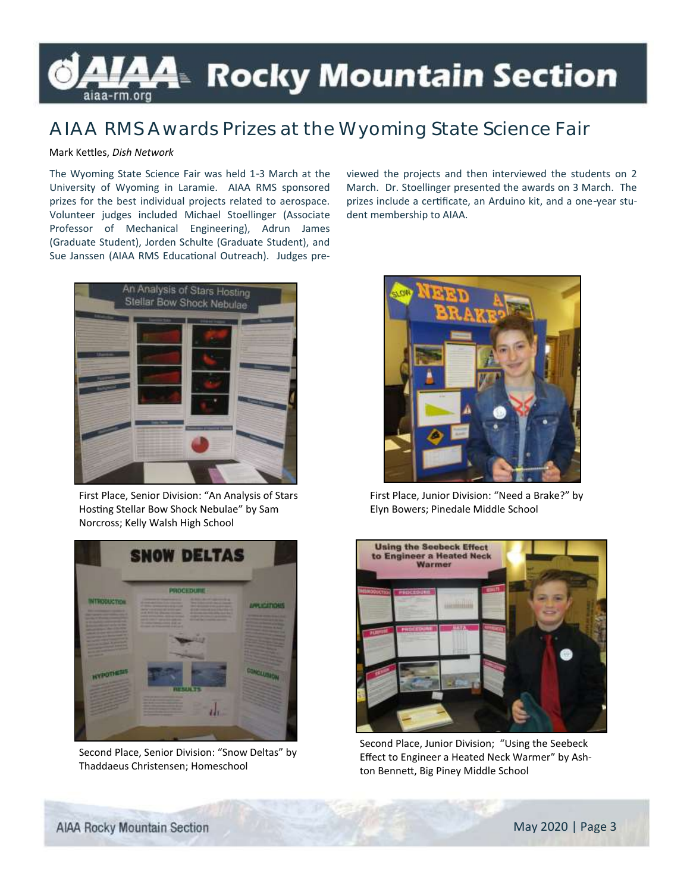## **A4**™ Rocky Mountain Section aiaa-rm.org

### **AIAA RMS Awards Prizes at the Wyoming State Science Fair**

### Mark Kettles, *Dish Network*

The Wyoming State Science Fair was held 1-3 March at the University of Wyoming in Laramie. AIAA RMS sponsored prizes for the best individual projects related to aerospace. Volunteer judges included Michael Stoellinger (Associate Professor of Mechanical Engineering), Adrun James (Graduate Student), Jorden Schulte (Graduate Student), and Sue Janssen (AIAA RMS Educational Outreach). Judges pre-

An Analysis of Stars Hosting Stellar Bow Shock Nebulae

First Place, Senior Division: "An Analysis of Stars Hosting Stellar Bow Shock Nebulae" by Sam Norcross; Kelly Walsh High School



Second Place, Senior Division: "Snow Deltas" by Thaddaeus Christensen; Homeschool

viewed the projects and then interviewed the students on 2 March. Dr. Stoellinger presented the awards on 3 March. The prizes include a certificate, an Arduino kit, and a one-year student membership to AIAA.



First Place, Junior Division: "Need a Brake?" by Elyn Bowers; Pinedale Middle School



Second Place, Junior Division; "Using the Seebeck Effect to Engineer a Heated Neck Warmer" by Ashton Bennett, Big Piney Middle School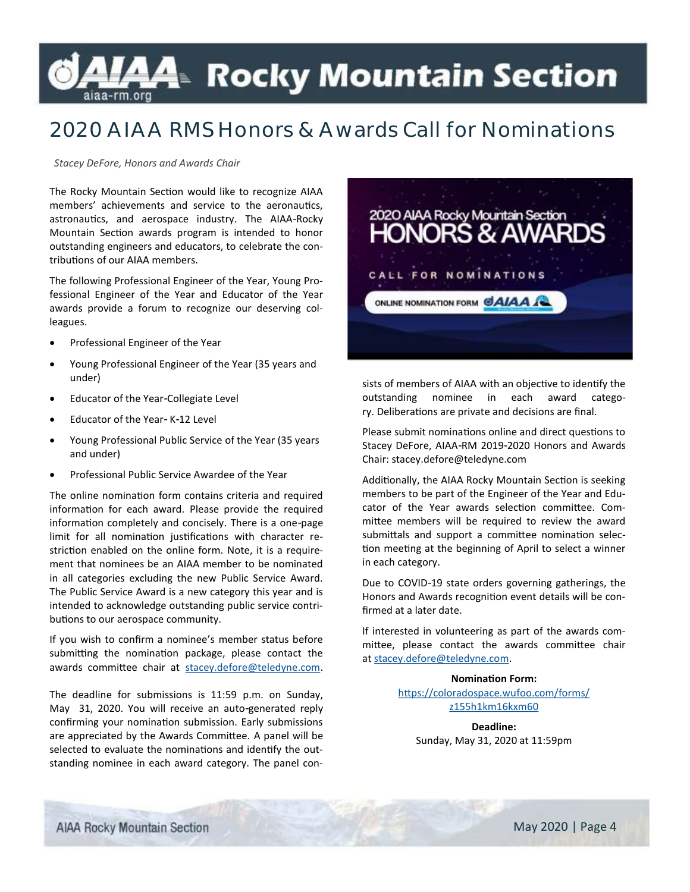## *L*A4≥ Rocky Mountain Section

## **2020 AIAA RMS Honors & Awards Call for Nominations**

*Stacey DeFore, Honors and Awards Chair* 

The Rocky Mountain Section would like to recognize AIAA members' achievements and service to the aeronautics, astronautics, and aerospace industry. The AIAA-Rocky Mountain Section awards program is intended to honor outstanding engineers and educators, to celebrate the contributions of our AIAA members.

The following Professional Engineer of the Year, Young Professional Engineer of the Year and Educator of the Year awards provide a forum to recognize our deserving colleagues.

- Professional Engineer of the Year
- Young Professional Engineer of the Year (35 years and under)
- Educator of the Year-Collegiate Level
- Educator of the Year- K-12 Level
- Young Professional Public Service of the Year (35 years and under)
- Professional Public Service Awardee of the Year

The online nomination form contains criteria and required information for each award. Please provide the required information completely and concisely. There is a one-page limit for all nomination justifications with character restriction enabled on the online form. Note, it is a requirement that nominees be an AIAA member to be nominated in all categories excluding the new Public Service Award. The Public Service Award is a new category this year and is intended to acknowledge outstanding public service contributions to our aerospace community.

If you wish to confirm a nominee's member status before submitting the nomination package, please contact the awards committee chair at [stacey.defore@teledyne.com.](mailto:stacey.defore@teledyne.com)

The deadline for submissions is 11:59 p.m. on Sunday, May 31, 2020. You will receive an auto-generated reply confirming your nomination submission. Early submissions are appreciated by the Awards Committee. A panel will be selected to evaluate the nominations and identify the outstanding nominee in each award category. The panel con-



sists of members of AIAA with an objective to identify the outstanding nominee in each award category. Deliberations are private and decisions are final.

Please submit nominations online and direct questions to Stacey DeFore, AIAA-RM 2019-2020 Honors and Awards Chair: stacey.defore@teledyne.com

Additionally, the AIAA Rocky Mountain Section is seeking members to be part of the Engineer of the Year and Educator of the Year awards selection committee. Committee members will be required to review the award submittals and support a committee nomination selection meeting at the beginning of April to select a winner in each category.

Due to COVID-19 state orders governing gatherings, the Honors and Awards recognition event details will be confirmed at a later date.

If interested in volunteering as part of the awards committee, please contact the awards committee chair at [stacey.defore@teledyne.com.](mailto:stacey.defore@teledyne.com)

> **Nomination Form:**  [https://coloradospace.wufoo.com/forms/](https://coloradospace.wufoo.com/forms/z155h1km16kxm60/) [z155h1km16kxm60](https://coloradospace.wufoo.com/forms/z155h1km16kxm60/)

**Deadline:**  Sunday, May 31, 2020 at 11:59pm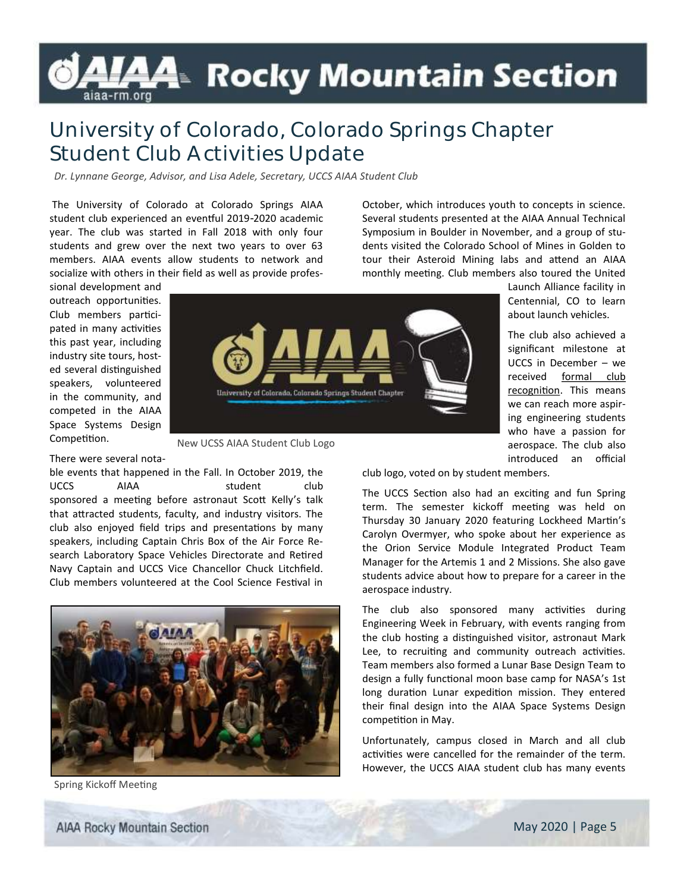# **LAA**≡ Rocky Mountain Section

### **University of Colorado, Colorado Springs Chapter Student Club Activities Update**

*Dr. Lynnane George, Advisor, and Lisa Adele, Secretary, UCCS AIAA Student Club*

The University of Colorado at Colorado Springs AIAA student club experienced an eventful 2019-2020 academic year. The club was started in Fall 2018 with only four students and grew over the next two years to over 63 members. AIAA events allow students to network and socialize with others in their field as well as provide profes-

sional development and outreach opportunities. Club members participated in many activities this past year, including industry site tours, hosted several distinguished speakers, volunteered in the community, and competed in the AIAA Space Systems Design Competition.



New UCSS AIAA Student Club Logo

#### There were several nota-

ble events that happened in the Fall. In October 2019, the UCCS AIAA student club sponsored a meeting before astronaut Scott Kelly's talk that attracted students, faculty, and industry visitors. The club also enjoyed field trips and presentations by many speakers, including Captain Chris Box of the Air Force Research Laboratory Space Vehicles Directorate and Retired Navy Captain and UCCS Vice Chancellor Chuck Litchfield. Club members volunteered at the Cool Science Festival in



Spring Kickoff Meeting

October, which introduces youth to concepts in science. Several students presented at the AIAA Annual Technical Symposium in Boulder in November, and a group of students visited the Colorado School of Mines in Golden to tour their Asteroid Mining labs and attend an AIAA monthly meeting. Club members also toured the United

> Launch Alliance facility in Centennial, CO to learn about launch vehicles.

> The club also achieved a significant milestone at UCCS in December – we received formal club recognition. This means we can reach more aspiring engineering students who have a passion for aerospace. The club also introduced an official

club logo, voted on by student members.

The UCCS Section also had an exciting and fun Spring term. The semester kickoff meeting was held on Thursday 30 January 2020 featuring Lockheed Martin's Carolyn Overmyer, who spoke about her experience as the Orion Service Module Integrated Product Team Manager for the Artemis 1 and 2 Missions. She also gave students advice about how to prepare for a career in the aerospace industry.

The club also sponsored many activities during Engineering Week in February, with events ranging from the club hosting a distinguished visitor, astronaut Mark Lee, to recruiting and community outreach activities. Team members also formed a Lunar Base Design Team to design a fully functional moon base camp for NASA's 1st long duration Lunar expedition mission. They entered their final design into the AIAA Space Systems Design competition in May.

Unfortunately, campus closed in March and all club activities were cancelled for the remainder of the term. However, the UCCS AIAA student club has many events

**AIAA Rocky Mountain Section**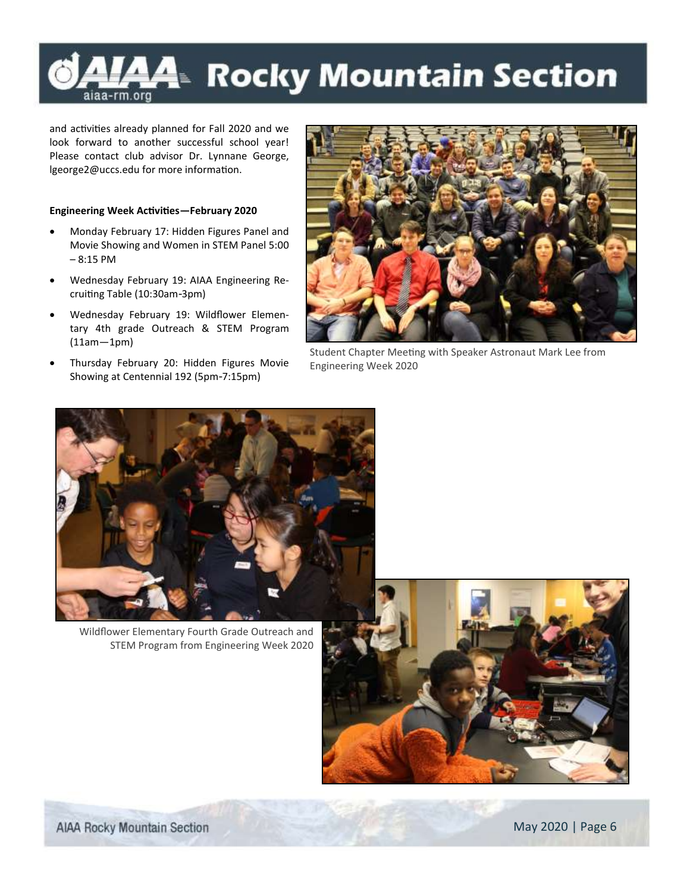### **Rocky Mountain Section** <u>дд</u> aiaa-rm.org

and activities already planned for Fall 2020 and we look forward to another successful school year! Please contact club advisor Dr. Lynnane George, lgeorge2@uccs.edu for more information.

#### **Engineering Week Activities—February 2020**

- Monday February 17: Hidden Figures Panel and Movie Showing and Women in STEM Panel 5:00 – 8:15 PM
- Wednesday February 19: AIAA Engineering Recruiting Table (10:30am-3pm)
- Wednesday February 19: Wildflower Elementary 4th grade Outreach & STEM Program (11am—1pm)
- Thursday February 20: Hidden Figures Movie Showing at Centennial 192 (5pm-7:15pm)



Student Chapter Meeting with Speaker Astronaut Mark Lee from Engineering Week 2020



Wildflower Elementary Fourth Grade Outreach and STEM Program from Engineering Week 2020

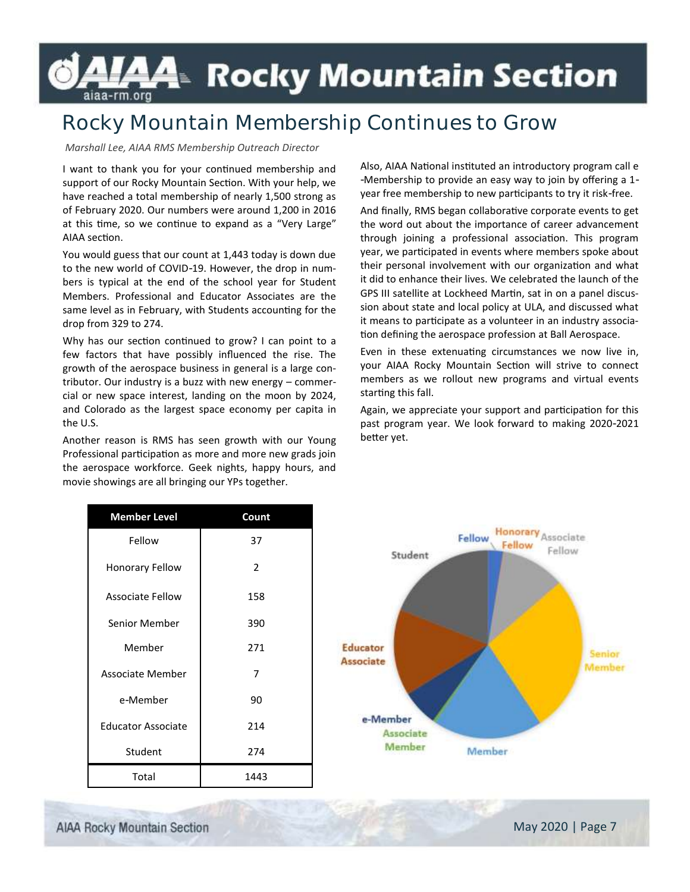## <del>A4</del>™ Rocky Mountain Section aiaa-rm.org

## **Rocky Mountain Membership Continues to Grow**

#### *Marshall Lee, AIAA RMS Membership Outreach Director*

I want to thank you for your continued membership and support of our Rocky Mountain Section. With your help, we have reached a total membership of nearly 1,500 strong as of February 2020. Our numbers were around 1,200 in 2016 at this time, so we continue to expand as a "Very Large" AIAA section.

You would guess that our count at 1,443 today is down due to the new world of COVID-19. However, the drop in numbers is typical at the end of the school year for Student Members. Professional and Educator Associates are the same level as in February, with Students accounting for the drop from 329 to 274.

Why has our section continued to grow? I can point to a few factors that have possibly influenced the rise. The growth of the aerospace business in general is a large contributor. Our industry is a buzz with new energy – commercial or new space interest, landing on the moon by 2024, and Colorado as the largest space economy per capita in the U.S.

Another reason is RMS has seen growth with our Young Professional participation as more and more new grads join the aerospace workforce. Geek nights, happy hours, and movie showings are all bringing our YPs together.

Also, AIAA National instituted an introductory program call e -Membership to provide an easy way to join by offering a 1 year free membership to new participants to try it risk-free.

And finally, RMS began collaborative corporate events to get the word out about the importance of career advancement through joining a professional association. This program year, we participated in events where members spoke about their personal involvement with our organization and what it did to enhance their lives. We celebrated the launch of the GPS III satellite at Lockheed Martin, sat in on a panel discussion about state and local policy at ULA, and discussed what it means to participate as a volunteer in an industry association defining the aerospace profession at Ball Aerospace.

Even in these extenuating circumstances we now live in, your AIAA Rocky Mountain Section will strive to connect members as we rollout new programs and virtual events starting this fall.

Again, we appreciate your support and participation for this past program year. We look forward to making 2020-2021 better yet.

| <b>Member Level</b>       | Count          |                                        |
|---------------------------|----------------|----------------------------------------|
| Fellow                    | 37             | Honorary Associate<br>Fellow<br>Fellow |
| <b>Honorary Fellow</b>    | $\overline{2}$ | Fellow<br>Student                      |
| <b>Associate Fellow</b>   | 158            |                                        |
| Senior Member             | 390            |                                        |
| Member                    | 271            | Educator<br><b>Senior</b>              |
| <b>Associate Member</b>   | 7              | <b>Associate</b><br>Member             |
| e-Member                  | 90             |                                        |
| <b>Educator Associate</b> | 214            | e-Member<br>Associate                  |
| Student                   | 274            | Member<br>Member                       |
| Total                     | 1443           |                                        |

**AIAA Rocky Mountain Section**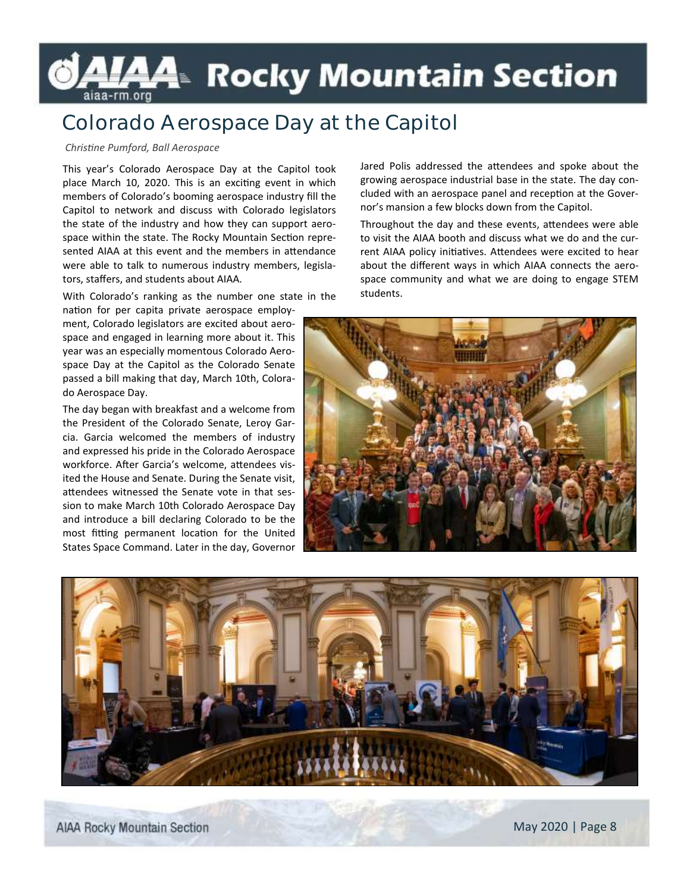# AIAA Rocky Mountain Section

### **Colorado Aerospace Day at the Capitol**

### *Christine Pumford, Ball Aerospace*

This year's Colorado Aerospace Day at the Capitol took place March 10, 2020. This is an exciting event in which members of Colorado's booming aerospace industry fill the Capitol to network and discuss with Colorado legislators the state of the industry and how they can support aerospace within the state. The Rocky Mountain Section represented AIAA at this event and the members in attendance were able to talk to numerous industry members, legislators, staffers, and students about AIAA.

With Colorado's ranking as the number one state in the

nation for per capita private aerospace employment, Colorado legislators are excited about aerospace and engaged in learning more about it. This year was an especially momentous Colorado Aerospace Day at the Capitol as the Colorado Senate passed a bill making that day, March 10th, Colorado Aerospace Day.

The day began with breakfast and a welcome from the President of the Colorado Senate, Leroy Garcia. Garcia welcomed the members of industry and expressed his pride in the Colorado Aerospace workforce. After Garcia's welcome, attendees visited the House and Senate. During the Senate visit, attendees witnessed the Senate vote in that session to make March 10th Colorado Aerospace Day and introduce a bill declaring Colorado to be the most fitting permanent location for the United States Space Command. Later in the day, Governor

Jared Polis addressed the attendees and spoke about the growing aerospace industrial base in the state. The day concluded with an aerospace panel and reception at the Governor's mansion a few blocks down from the Capitol.

Throughout the day and these events, attendees were able to visit the AIAA booth and discuss what we do and the current AIAA policy initiatives. Attendees were excited to hear about the different ways in which AIAA connects the aerospace community and what we are doing to engage STEM students.





**AIAA Rocky Mountain Section**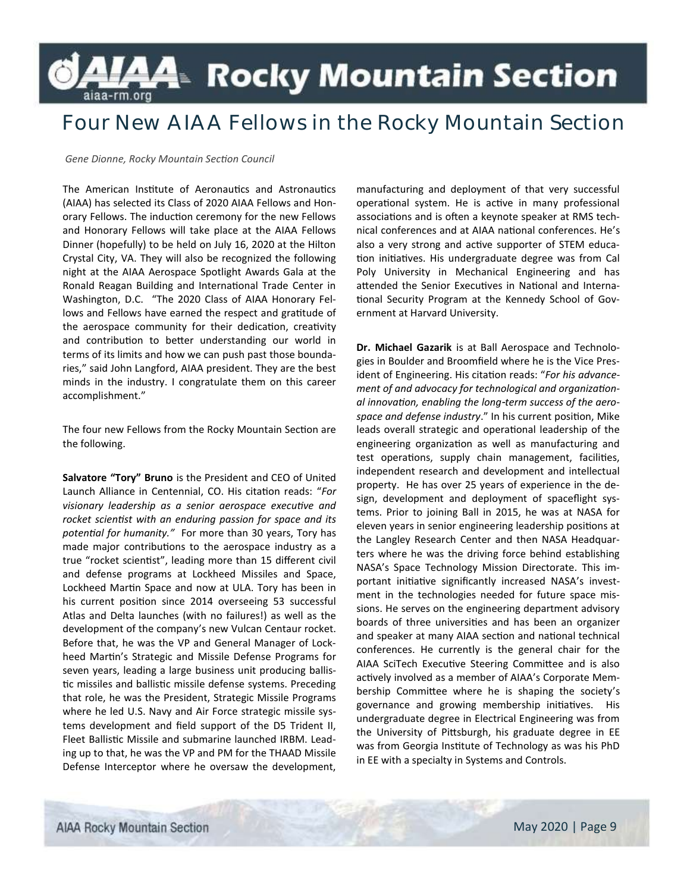## **A4**≥ Rocky Mountain Section aiaa-rm.org

### **Four New AIAA Fellows in the Rocky Mountain Section**

*Gene Dionne, Rocky Mountain Section Council*

The American Institute of Aeronautics and Astronautics (AIAA) has selected its Class of 2020 AIAA Fellows and Honorary Fellows. The induction ceremony for the new Fellows and Honorary Fellows will take place at the AIAA Fellows Dinner (hopefully) to be held on July 16, 2020 at the Hilton Crystal City, VA. They will also be recognized the following night at the AIAA Aerospace Spotlight Awards Gala at the Ronald Reagan Building and International Trade Center in Washington, D.C. "The 2020 Class of AIAA Honorary Fellows and Fellows have earned the respect and gratitude of the aerospace community for their dedication, creativity and contribution to better understanding our world in terms of its limits and how we can push past those boundaries," said John Langford, AIAA president. They are the best minds in the industry. I congratulate them on this career accomplishment."

The four new Fellows from the Rocky Mountain Section are the following.

**Salvatore "Tory" Bruno** is the President and CEO of United Launch Alliance in Centennial, CO. His citation reads: "*For visionary leadership as a senior aerospace executive and rocket scientist with an enduring passion for space and its potential for humanity."* For more than 30 years, Tory has made major contributions to the aerospace industry as a true "rocket scientist", leading more than 15 different civil and defense programs at Lockheed Missiles and Space, Lockheed Martin Space and now at ULA. Tory has been in his current position since 2014 overseeing 53 successful Atlas and Delta launches (with no failures!) as well as the development of the company's new Vulcan Centaur rocket. Before that, he was the VP and General Manager of Lockheed Martin's Strategic and Missile Defense Programs for seven years, leading a large business unit producing ballistic missiles and ballistic missile defense systems. Preceding that role, he was the President, Strategic Missile Programs where he led U.S. Navy and Air Force strategic missile systems development and field support of the D5 Trident II, Fleet Ballistic Missile and submarine launched IRBM. Leading up to that, he was the VP and PM for the THAAD Missile Defense Interceptor where he oversaw the development,

manufacturing and deployment of that very successful operational system. He is active in many professional associations and is often a keynote speaker at RMS technical conferences and at AIAA national conferences. He's also a very strong and active supporter of STEM education initiatives. His undergraduate degree was from Cal Poly University in Mechanical Engineering and has attended the Senior Executives in National and International Security Program at the Kennedy School of Government at Harvard University.

**Dr. Michael Gazarik** is at Ball Aerospace and Technologies in Boulder and Broomfield where he is the Vice President of Engineering. His citation reads: "*For his advancement of and advocacy for technological and organizational innovation, enabling the long-term success of the aerospace and defense industry*." In his current position, Mike leads overall strategic and operational leadership of the engineering organization as well as manufacturing and test operations, supply chain management, facilities, independent research and development and intellectual property. He has over 25 years of experience in the design, development and deployment of spaceflight systems. Prior to joining Ball in 2015, he was at NASA for eleven years in senior engineering leadership positions at the Langley Research Center and then NASA Headquarters where he was the driving force behind establishing NASA's Space Technology Mission Directorate. This important initiative significantly increased NASA's investment in the technologies needed for future space missions. He serves on the engineering department advisory boards of three universities and has been an organizer and speaker at many AIAA section and national technical conferences. He currently is the general chair for the AIAA SciTech Executive Steering Committee and is also actively involved as a member of AIAA's Corporate Membership Committee where he is shaping the society's governance and growing membership initiatives. His undergraduate degree in Electrical Engineering was from the University of Pittsburgh, his graduate degree in EE was from Georgia Institute of Technology as was his PhD in EE with a specialty in Systems and Controls.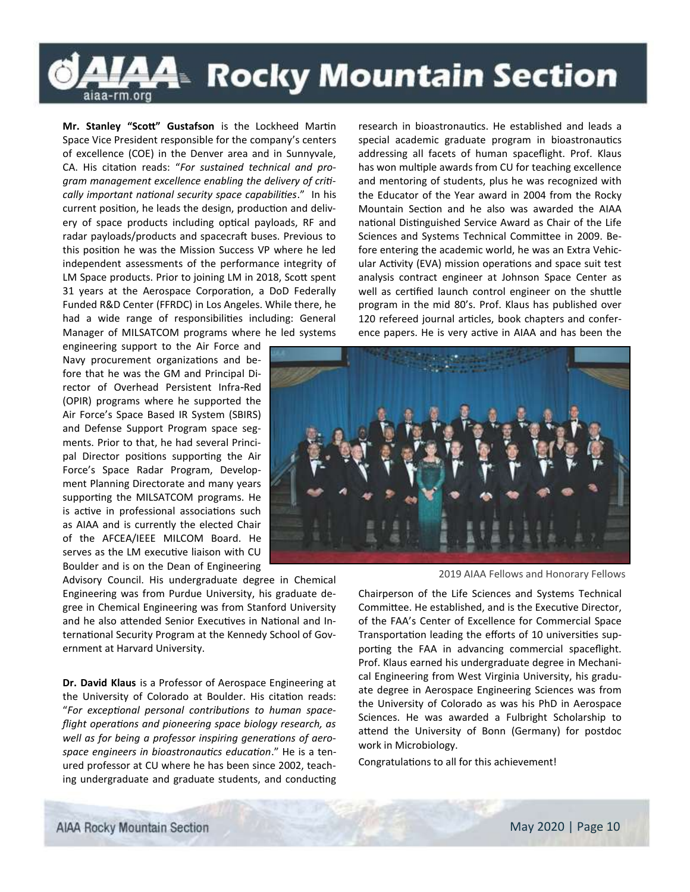## <del>A4</del>™ Rocky Mountain Section aiaa-rm.org

**Mr. Stanley "Scott" Gustafson** is the Lockheed Martin Space Vice President responsible for the company's centers of excellence (COE) in the Denver area and in Sunnyvale, CA. His citation reads: "*For sustained technical and program management excellence enabling the delivery of critically important national security space capabilities*." In his current position, he leads the design, production and delivery of space products including optical payloads, RF and radar payloads/products and spacecraft buses. Previous to this position he was the Mission Success VP where he led independent assessments of the performance integrity of LM Space products. Prior to joining LM in 2018, Scott spent 31 years at the Aerospace Corporation, a DoD Federally Funded R&D Center (FFRDC) in Los Angeles. While there, he had a wide range of responsibilities including: General Manager of MILSATCOM programs where he led systems

engineering support to the Air Force and Navy procurement organizations and before that he was the GM and Principal Director of Overhead Persistent Infra-Red (OPIR) programs where he supported the Air Force's Space Based IR System (SBIRS) and Defense Support Program space segments. Prior to that, he had several Principal Director positions supporting the Air Force's Space Radar Program, Development Planning Directorate and many years supporting the MILSATCOM programs. He is active in professional associations such as AIAA and is currently the elected Chair of the AFCEA/IEEE MILCOM Board. He serves as the LM executive liaison with CU Boulder and is on the Dean of Engineering

Advisory Council. His undergraduate degree in Chemical Engineering was from Purdue University, his graduate degree in Chemical Engineering was from Stanford University and he also attended Senior Executives in National and International Security Program at the Kennedy School of Government at Harvard University.

**Dr. David Klaus** is a Professor of Aerospace Engineering at the University of Colorado at Boulder. His citation reads: "*For exceptional personal contributions to human spaceflight operations and pioneering space biology research, as well as for being a professor inspiring generations of aerospace engineers in bioastronautics education*." He is a tenured professor at CU where he has been since 2002, teaching undergraduate and graduate students, and conducting research in bioastronautics. He established and leads a special academic graduate program in bioastronautics addressing all facets of human spaceflight. Prof. Klaus has won multiple awards from CU for teaching excellence and mentoring of students, plus he was recognized with the Educator of the Year award in 2004 from the Rocky Mountain Section and he also was awarded the AIAA national Distinguished Service Award as Chair of the Life Sciences and Systems Technical Committee in 2009. Before entering the academic world, he was an Extra Vehicular Activity (EVA) mission operations and space suit test analysis contract engineer at Johnson Space Center as well as certified launch control engineer on the shuttle program in the mid 80's. Prof. Klaus has published over 120 refereed journal articles, book chapters and conference papers. He is very active in AIAA and has been the



2019 AIAA Fellows and Honorary Fellows

Chairperson of the Life Sciences and Systems Technical Committee. He established, and is the Executive Director, of the FAA's Center of Excellence for Commercial Space Transportation leading the efforts of 10 universities supporting the FAA in advancing commercial spaceflight. Prof. Klaus earned his undergraduate degree in Mechanical Engineering from West Virginia University, his graduate degree in Aerospace Engineering Sciences was from the University of Colorado as was his PhD in Aerospace Sciences. He was awarded a Fulbright Scholarship to attend the University of Bonn (Germany) for postdoc work in Microbiology.

Congratulations to all for this achievement!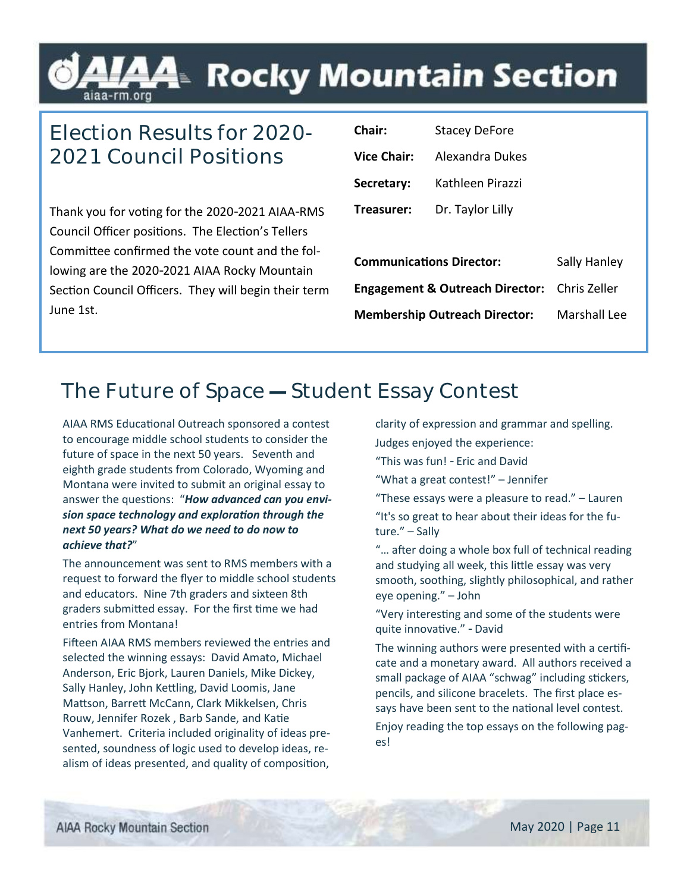## L⁄44 Rocky Mountain Section

## **Election Results for 2020- 2021 Council Positions**

Thank you for voting for the 2020-2021 AIAA-RMS Council Officer positions. The Election's Tellers Committee confirmed the vote count and the following are the 2020-2021 AIAA Rocky Mountain Section Council Officers. They will begin their term June 1st.

| Chair:                                     | Stacey DeFore    |                     |  |
|--------------------------------------------|------------------|---------------------|--|
| <b>Vice Chair:</b>                         | Alexandra Dukes  |                     |  |
| Secretary:                                 | Kathleen Pirazzi |                     |  |
| Treasurer:                                 | Dr. Taylor Lilly |                     |  |
|                                            |                  |                     |  |
| <b>Communications Director:</b>            |                  | Sally Hanley        |  |
| <b>Engagement &amp; Outreach Director:</b> |                  | Chris Zeller        |  |
| <b>Membership Outreach Director:</b>       |                  | <b>Marshall Lee</b> |  |
|                                            |                  |                     |  |

### **The Future of Space — Student Essay Contest**

AIAA RMS Educational Outreach sponsored a contest to encourage middle school students to consider the future of space in the next 50 years. Seventh and eighth grade students from Colorado, Wyoming and Montana were invited to submit an original essay to answer the questions: "*How advanced can you envision space technology and exploration through the next 50 years? What do we need to do now to achieve that?*"

The announcement was sent to RMS members with a request to forward the flyer to middle school students and educators. Nine 7th graders and sixteen 8th graders submitted essay. For the first time we had entries from Montana!

Fifteen AIAA RMS members reviewed the entries and selected the winning essays: David Amato, Michael Anderson, Eric Bjork, Lauren Daniels, Mike Dickey, Sally Hanley, John Kettling, David Loomis, Jane Mattson, Barrett McCann, Clark Mikkelsen, Chris Rouw, Jennifer Rozek , Barb Sande, and Katie Vanhemert. Criteria included originality of ideas presented, soundness of logic used to develop ideas, realism of ideas presented, and quality of composition,

clarity of expression and grammar and spelling.

Judges enjoyed the experience:

"This was fun! - Eric and David

"What a great contest!" – Jennifer

"These essays were a pleasure to read." – Lauren

"It's so great to hear about their ideas for the future." – Sally

"… after doing a whole box full of technical reading and studying all week, this little essay was very smooth, soothing, slightly philosophical, and rather eye opening." – John

"Very interesting and some of the students were quite innovative." - David

The winning authors were presented with a certificate and a monetary award. All authors received a small package of AIAA "schwag" including stickers, pencils, and silicone bracelets. The first place essays have been sent to the national level contest.

Enjoy reading the top essays on the following pages!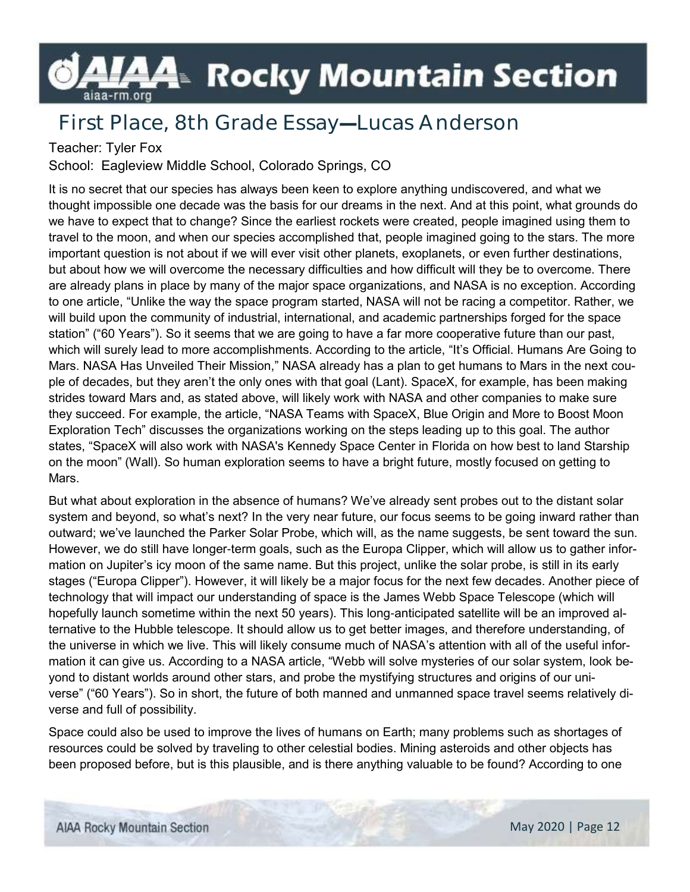## L⁄44 Rocky Mountain Section aiaa-rm.org

## **First Place, 8th Grade Essay—Lucas Anderson**

### Teacher: Tyler Fox

School: Eagleview Middle School, Colorado Springs, CO

It is no secret that our species has always been keen to explore anything undiscovered, and what we thought impossible one decade was the basis for our dreams in the next. And at this point, what grounds do we have to expect that to change? Since the earliest rockets were created, people imagined using them to travel to the moon, and when our species accomplished that, people imagined going to the stars. The more important question is not about if we will ever visit other planets, exoplanets, or even further destinations, but about how we will overcome the necessary difficulties and how difficult will they be to overcome. There are already plans in place by many of the major space organizations, and NASA is no exception. According to one article, "Unlike the way the space program started, NASA will not be racing a competitor. Rather, we will build upon the community of industrial, international, and academic partnerships forged for the space station" ("60 Years"). So it seems that we are going to have a far more cooperative future than our past, which will surely lead to more accomplishments. According to the article, "It's Official. Humans Are Going to Mars. NASA Has Unveiled Their Mission," NASA already has a plan to get humans to Mars in the next couple of decades, but they aren't the only ones with that goal (Lant). SpaceX, for example, has been making strides toward Mars and, as stated above, will likely work with NASA and other companies to make sure they succeed. For example, the article, "NASA Teams with SpaceX, Blue Origin and More to Boost Moon Exploration Tech" discusses the organizations working on the steps leading up to this goal. The author states, "SpaceX will also work with NASA's Kennedy Space Center in Florida on how best to land Starship on the moon" (Wall). So human exploration seems to have a bright future, mostly focused on getting to Mars.

But what about exploration in the absence of humans? We've already sent probes out to the distant solar system and beyond, so what's next? In the very near future, our focus seems to be going inward rather than outward; we've launched the Parker Solar Probe, which will, as the name suggests, be sent toward the sun. However, we do still have longer-term goals, such as the Europa Clipper, which will allow us to gather information on Jupiter's icy moon of the same name. But this project, unlike the solar probe, is still in its early stages ("Europa Clipper"). However, it will likely be a major focus for the next few decades. Another piece of technology that will impact our understanding of space is the James Webb Space Telescope (which will hopefully launch sometime within the next 50 years). This long-anticipated satellite will be an improved alternative to the Hubble telescope. It should allow us to get better images, and therefore understanding, of the universe in which we live. This will likely consume much of NASA's attention with all of the useful information it can give us. According to a NASA article, "Webb will solve mysteries of our solar system, look beyond to distant worlds around other stars, and probe the mystifying structures and origins of our universe" ("60 Years"). So in short, the future of both manned and unmanned space travel seems relatively diverse and full of possibility.

Space could also be used to improve the lives of humans on Earth; many problems such as shortages of resources could be solved by traveling to other celestial bodies. Mining asteroids and other objects has been proposed before, but is this plausible, and is there anything valuable to be found? According to one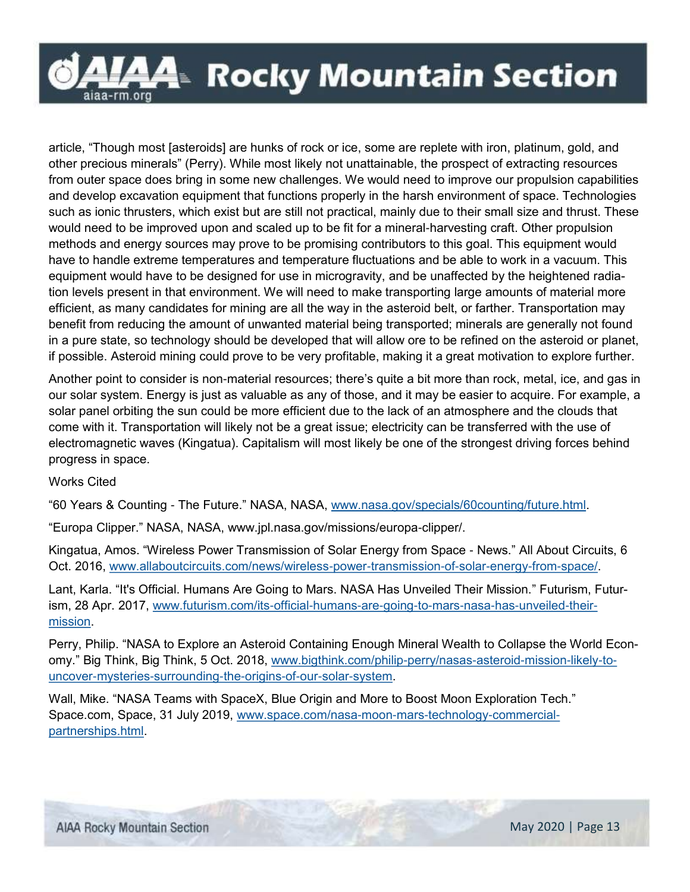

article, "Though most [asteroids] are hunks of rock or ice, some are replete with iron, platinum, gold, and other precious minerals" (Perry). While most likely not unattainable, the prospect of extracting resources from outer space does bring in some new challenges. We would need to improve our propulsion capabilities and develop excavation equipment that functions properly in the harsh environment of space. Technologies such as ionic thrusters, which exist but are still not practical, mainly due to their small size and thrust. These would need to be improved upon and scaled up to be fit for a mineral-harvesting craft. Other propulsion methods and energy sources may prove to be promising contributors to this goal. This equipment would have to handle extreme temperatures and temperature fluctuations and be able to work in a vacuum. This equipment would have to be designed for use in microgravity, and be unaffected by the heightened radiation levels present in that environment. We will need to make transporting large amounts of material more efficient, as many candidates for mining are all the way in the asteroid belt, or farther. Transportation may benefit from reducing the amount of unwanted material being transported; minerals are generally not found in a pure state, so technology should be developed that will allow ore to be refined on the asteroid or planet, if possible. Asteroid mining could prove to be very profitable, making it a great motivation to explore further.

Another point to consider is non-material resources; there's quite a bit more than rock, metal, ice, and gas in our solar system. Energy is just as valuable as any of those, and it may be easier to acquire. For example, a solar panel orbiting the sun could be more efficient due to the lack of an atmosphere and the clouds that come with it. Transportation will likely not be a great issue; electricity can be transferred with the use of electromagnetic waves (Kingatua). Capitalism will most likely be one of the strongest driving forces behind progress in space.

### Works Cited

"60 Years & Counting - The Future." NASA, NASA, [www.nasa.gov/specials/60counting/future.html.](http://www.nasa.gov/specials/60counting/future.html)

"Europa Clipper." NASA, NASA, www.jpl.nasa.gov/missions/europa-clipper/.

Kingatua, Amos. "Wireless Power Transmission of Solar Energy from Space - News." All About Circuits, 6 Oct. 2016, [www.allaboutcircuits.com/news/wireless-power-transmission-of-solar-energy-from-space/.](http://www.allaboutcircuits.com/news/wireless-power-transmission-of-solar-energy-from-space/) 

Lant, Karla. "It's Official. Humans Are Going to Mars. NASA Has Unveiled Their Mission." Futurism, Futurism, 28 Apr. 2017, [www.futurism.com/its-official-humans-are-going-to-mars-nasa-has-unveiled-their](http://www.futurism.com/its-official-humans-are-going-to-mars-nasa-has-unveiled-their-mission)[mission.](http://www.futurism.com/its-official-humans-are-going-to-mars-nasa-has-unveiled-their-mission) 

Perry, Philip. "NASA to Explore an Asteroid Containing Enough Mineral Wealth to Collapse the World Economy." Big Think, Big Think, 5 Oct. 2018, [www.bigthink.com/philip-perry/nasas-asteroid-mission-likely-to](http://www.bigthink.com/philip-perry/nasas-asteroid-mission-likely-to-uncover-mysteries-surrounding-the-origins-of-our-solar-system)[uncover-mysteries-surrounding-the-origins-of-our-solar-system.](http://www.bigthink.com/philip-perry/nasas-asteroid-mission-likely-to-uncover-mysteries-surrounding-the-origins-of-our-solar-system)

Wall, Mike. "NASA Teams with SpaceX, Blue Origin and More to Boost Moon Exploration Tech." Space.com, Space, 31 July 2019, [www.space.com/nasa-moon-mars-technology-commercial](http://www.space.com/nasa-moon-mars-technology-commercial-partnerships.html)[partnerships.html.](http://www.space.com/nasa-moon-mars-technology-commercial-partnerships.html)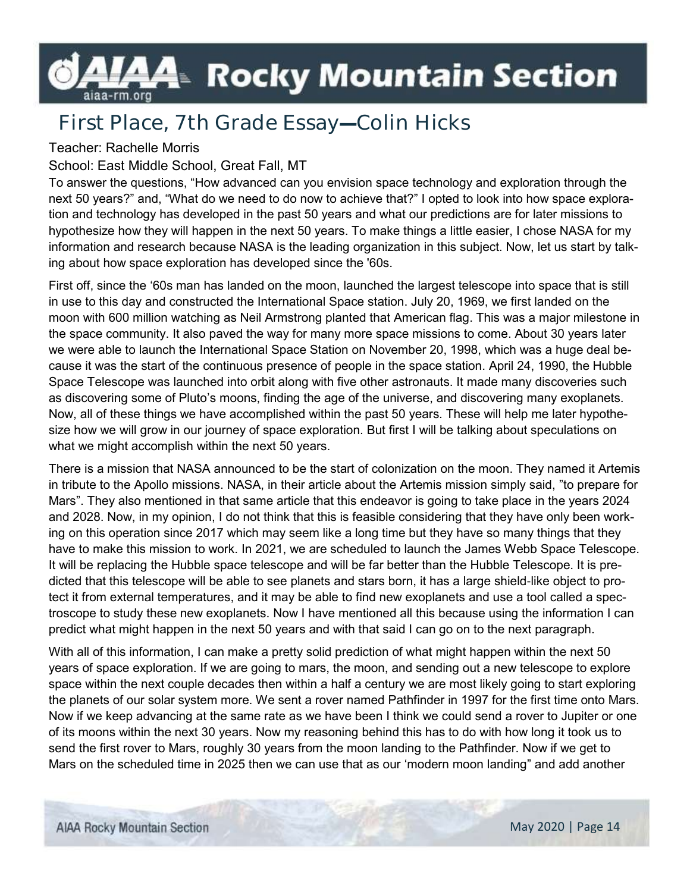## LAA- Rocky Mountain Section aiaa-rm.org

## **First Place, 7th Grade Essay—Colin Hicks**

### Teacher: Rachelle Morris

### School: East Middle School, Great Fall, MT

To answer the questions, "How advanced can you envision space technology and exploration through the next 50 years?" and, "What do we need to do now to achieve that?" I opted to look into how space exploration and technology has developed in the past 50 years and what our predictions are for later missions to hypothesize how they will happen in the next 50 years. To make things a little easier, I chose NASA for my information and research because NASA is the leading organization in this subject. Now, let us start by talking about how space exploration has developed since the '60s.

First off, since the '60s man has landed on the moon, launched the largest telescope into space that is still in use to this day and constructed the International Space station. July 20, 1969, we first landed on the moon with 600 million watching as Neil Armstrong planted that American flag. This was a major milestone in the space community. It also paved the way for many more space missions to come. About 30 years later we were able to launch the International Space Station on November 20, 1998, which was a huge deal because it was the start of the continuous presence of people in the space station. April 24, 1990, the Hubble Space Telescope was launched into orbit along with five other astronauts. It made many discoveries such as discovering some of Pluto's moons, finding the age of the universe, and discovering many exoplanets. Now, all of these things we have accomplished within the past 50 years. These will help me later hypothesize how we will grow in our journey of space exploration. But first I will be talking about speculations on what we might accomplish within the next 50 years.

There is a mission that NASA announced to be the start of colonization on the moon. They named it Artemis in tribute to the Apollo missions. NASA, in their article about the Artemis mission simply said, "to prepare for Mars". They also mentioned in that same article that this endeavor is going to take place in the years 2024 and 2028. Now, in my opinion, I do not think that this is feasible considering that they have only been working on this operation since 2017 which may seem like a long time but they have so many things that they have to make this mission to work. In 2021, we are scheduled to launch the James Webb Space Telescope. It will be replacing the Hubble space telescope and will be far better than the Hubble Telescope. It is predicted that this telescope will be able to see planets and stars born, it has a large shield-like object to protect it from external temperatures, and it may be able to find new exoplanets and use a tool called a spectroscope to study these new exoplanets. Now I have mentioned all this because using the information I can predict what might happen in the next 50 years and with that said I can go on to the next paragraph.

With all of this information, I can make a pretty solid prediction of what might happen within the next 50 years of space exploration. If we are going to mars, the moon, and sending out a new telescope to explore space within the next couple decades then within a half a century we are most likely going to start exploring the planets of our solar system more. We sent a rover named Pathfinder in 1997 for the first time onto Mars. Now if we keep advancing at the same rate as we have been I think we could send a rover to Jupiter or one of its moons within the next 30 years. Now my reasoning behind this has to do with how long it took us to send the first rover to Mars, roughly 30 years from the moon landing to the Pathfinder. Now if we get to Mars on the scheduled time in 2025 then we can use that as our 'modern moon landing" and add another